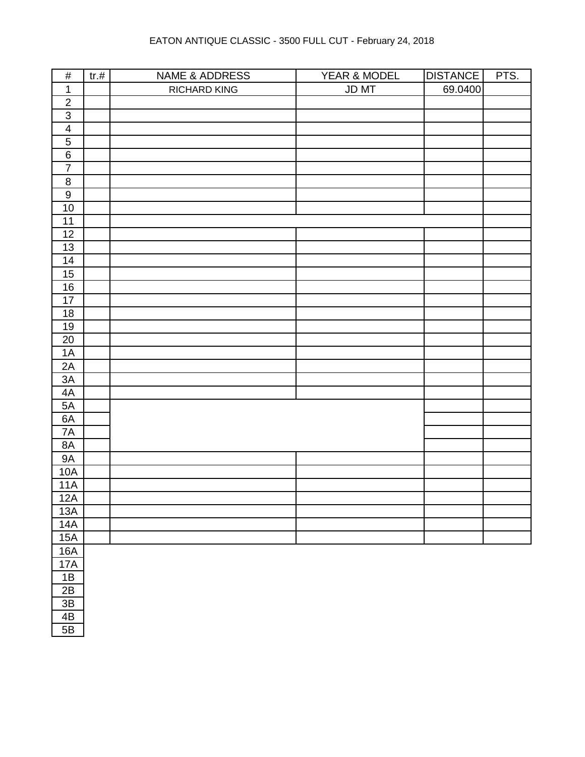| $\#$                    | $tr.$ # | <b>NAME &amp; ADDRESS</b> | YEAR & MODEL | <b>DISTANCE</b> | PTS. |
|-------------------------|---------|---------------------------|--------------|-----------------|------|
| $\mathbf{1}$            |         | RICHARD KING              | JD MT        | 69.0400         |      |
| $\boldsymbol{2}$        |         |                           |              |                 |      |
| $\overline{3}$          |         |                           |              |                 |      |
| $\overline{\mathbf{4}}$ |         |                           |              |                 |      |
| $\overline{5}$          |         |                           |              |                 |      |
| $\,6\,$                 |         |                           |              |                 |      |
| $\overline{7}$          |         |                           |              |                 |      |
| $\bf 8$                 |         |                           |              |                 |      |
| $\overline{9}$          |         |                           |              |                 |      |
| 10                      |         |                           |              |                 |      |
| 11                      |         |                           |              |                 |      |
| 12                      |         |                           |              |                 |      |
| 13                      |         |                           |              |                 |      |
| 14                      |         |                           |              |                 |      |
| 15                      |         |                           |              |                 |      |
| $16$                    |         |                           |              |                 |      |
| $17$                    |         |                           |              |                 |      |
| $18$                    |         |                           |              |                 |      |
| <u>19</u>               |         |                           |              |                 |      |
| $20\,$                  |         |                           |              |                 |      |
| 1A                      |         |                           |              |                 |      |
| $2A$                    |         |                           |              |                 |      |
| 3A                      |         |                           |              |                 |      |
| 4A                      |         |                           |              |                 |      |
| 5A                      |         |                           |              |                 |      |
| 6A                      |         |                           |              |                 |      |
| 7A                      |         |                           |              |                 |      |
| $8A$                    |         |                           |              |                 |      |
| 9A                      |         |                           |              |                 |      |
| 10A                     |         |                           |              |                 |      |
| 11A                     |         |                           |              |                 |      |
| 12A                     |         |                           |              |                 |      |
| 13A                     |         |                           |              |                 |      |
| 14A                     |         |                           |              |                 |      |
| 15A                     |         |                           |              |                 |      |
| <b>16A</b>              |         |                           |              |                 |      |
| 17A                     |         |                           |              |                 |      |
| $1B$                    |         |                           |              |                 |      |
| 2B                      |         |                           |              |                 |      |
| $3\mathsf{B}$           |         |                           |              |                 |      |
| 4B                      |         |                           |              |                 |      |
| 5B                      |         |                           |              |                 |      |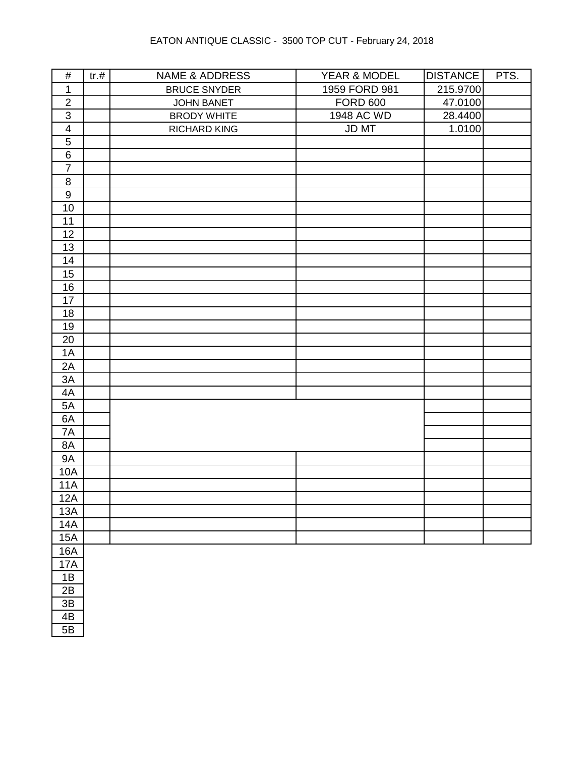| $\#$                    | tr.# | <b>NAME &amp; ADDRESS</b> | YEAR & MODEL    | <b>DISTANCE</b> | PTS. |
|-------------------------|------|---------------------------|-----------------|-----------------|------|
| $\mathbf{1}$            |      | <b>BRUCE SNYDER</b>       | 1959 FORD 981   | 215.9700        |      |
| $\overline{2}$          |      | <b>JOHN BANET</b>         | <b>FORD 600</b> | 47.0100         |      |
| $\mathfrak{S}$          |      | <b>BRODY WHITE</b>        | 1948 AC WD      | 28.4400         |      |
| $\overline{\mathbf{4}}$ |      | RICHARD KING              | JD MT           | 1.0100          |      |
| $\sqrt{5}$              |      |                           |                 |                 |      |
| $\,6\,$                 |      |                           |                 |                 |      |
| $\overline{7}$          |      |                           |                 |                 |      |
| $\,8\,$                 |      |                           |                 |                 |      |
| 9                       |      |                           |                 |                 |      |
| $10$                    |      |                           |                 |                 |      |
| 11                      |      |                           |                 |                 |      |
| 12                      |      |                           |                 |                 |      |
| 13                      |      |                           |                 |                 |      |
| 14                      |      |                           |                 |                 |      |
| 15                      |      |                           |                 |                 |      |
| 16                      |      |                           |                 |                 |      |
| 17                      |      |                           |                 |                 |      |
| 18                      |      |                           |                 |                 |      |
| 19                      |      |                           |                 |                 |      |
| 20                      |      |                           |                 |                 |      |
| 1A                      |      |                           |                 |                 |      |
| 2A                      |      |                           |                 |                 |      |
| 3A                      |      |                           |                 |                 |      |
| 4A                      |      |                           |                 |                 |      |
| 5A                      |      |                           |                 |                 |      |
| 6A                      |      |                           |                 |                 |      |
| 7A                      |      |                           |                 |                 |      |
| 8A                      |      |                           |                 |                 |      |
| <b>9A</b>               |      |                           |                 |                 |      |
| 10A                     |      |                           |                 |                 |      |
| <b>11A</b>              |      |                           |                 |                 |      |
| 12A                     |      |                           |                 |                 |      |
| 13A                     |      |                           |                 |                 |      |
| <b>14A</b>              |      |                           |                 |                 |      |
| <b>15A</b>              |      |                           |                 |                 |      |
| <b>16A</b>              |      |                           |                 |                 |      |
| <b>17A</b>              |      |                           |                 |                 |      |
| 1B                      |      |                           |                 |                 |      |
| 2B                      |      |                           |                 |                 |      |
| $3\mathsf{B}$           |      |                           |                 |                 |      |
| 4B                      |      |                           |                 |                 |      |
| 5B                      |      |                           |                 |                 |      |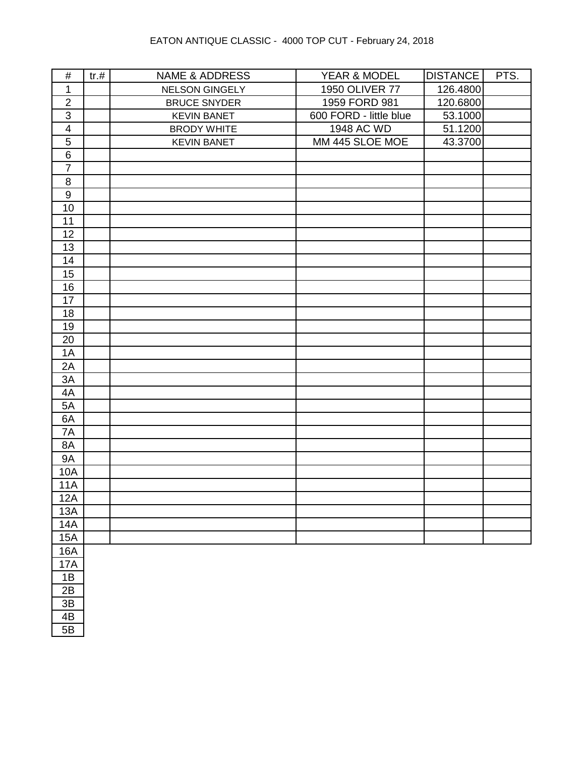| $\#$                    | tr.# | <b>NAME &amp; ADDRESS</b> | YEAR & MODEL           | <b>DISTANCE</b> | PTS. |
|-------------------------|------|---------------------------|------------------------|-----------------|------|
| $\mathbf{1}$            |      | NELSON GINGELY            | <b>1950 OLIVER 77</b>  | 126.4800        |      |
| $\overline{2}$          |      | <b>BRUCE SNYDER</b>       | 1959 FORD 981          | 120.6800        |      |
| $\sqrt{3}$              |      | <b>KEVIN BANET</b>        | 600 FORD - little blue | 53.1000         |      |
| $\overline{\mathbf{4}}$ |      | <b>BRODY WHITE</b>        | 1948 AC WD             | 51.1200         |      |
| 5                       |      | <b>KEVIN BANET</b>        | MM 445 SLOE MOE        | 43.3700         |      |
| $\,6\,$                 |      |                           |                        |                 |      |
| $\overline{7}$          |      |                           |                        |                 |      |
| $\,8\,$                 |      |                           |                        |                 |      |
| $\boldsymbol{9}$        |      |                           |                        |                 |      |
| 10                      |      |                           |                        |                 |      |
| 11                      |      |                           |                        |                 |      |
| 12                      |      |                           |                        |                 |      |
| 13                      |      |                           |                        |                 |      |
| 14                      |      |                           |                        |                 |      |
| 15                      |      |                           |                        |                 |      |
| 16                      |      |                           |                        |                 |      |
| 17                      |      |                           |                        |                 |      |
| 18                      |      |                           |                        |                 |      |
| 19                      |      |                           |                        |                 |      |
| 20                      |      |                           |                        |                 |      |
| 1A                      |      |                           |                        |                 |      |
| 2A                      |      |                           |                        |                 |      |
| 3A                      |      |                           |                        |                 |      |
| 4A                      |      |                           |                        |                 |      |
| 5A                      |      |                           |                        |                 |      |
| 6A                      |      |                           |                        |                 |      |
| 7A                      |      |                           |                        |                 |      |
| 8A                      |      |                           |                        |                 |      |
| <b>9A</b>               |      |                           |                        |                 |      |
| <b>10A</b>              |      |                           |                        |                 |      |
| <b>11A</b>              |      |                           |                        |                 |      |
| 12A                     |      |                           |                        |                 |      |
| 13A                     |      |                           |                        |                 |      |
| 14A                     |      |                           |                        |                 |      |
| <b>15A</b>              |      |                           |                        |                 |      |
| <b>16A</b>              |      |                           |                        |                 |      |
| <b>17A</b>              |      |                           |                        |                 |      |
| 1B                      |      |                           |                        |                 |      |
| 2B                      |      |                           |                        |                 |      |
| 3B                      |      |                           |                        |                 |      |
| 4B                      |      |                           |                        |                 |      |
| 5B                      |      |                           |                        |                 |      |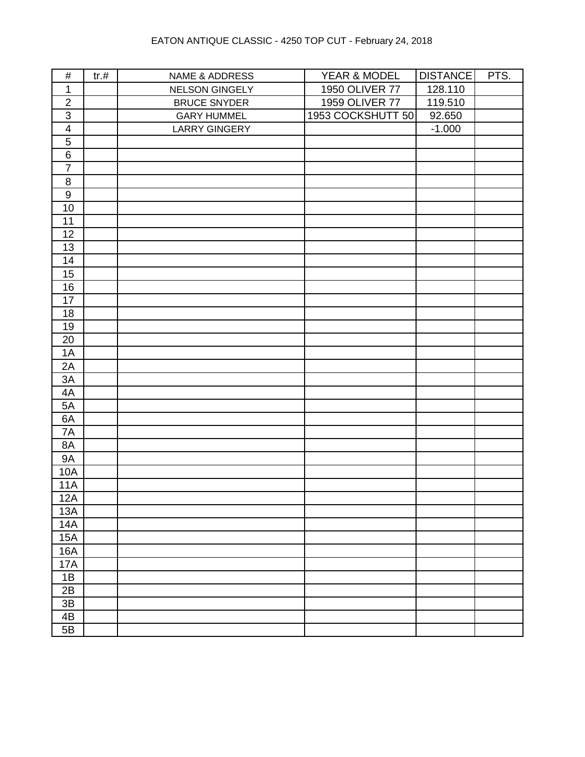| $\#$             | tr.# | NAME & ADDRESS       | YEAR & MODEL      | <b>DISTANCE</b> | PTS. |
|------------------|------|----------------------|-------------------|-----------------|------|
| $\mathbf 1$      |      | NELSON GINGELY       | 1950 OLIVER 77    | 128.110         |      |
| $\overline{2}$   |      | <b>BRUCE SNYDER</b>  | 1959 OLIVER 77    | 119.510         |      |
| $\overline{3}$   |      | <b>GARY HUMMEL</b>   | 1953 COCKSHUTT 50 | 92.650          |      |
| $\overline{4}$   |      | <b>LARRY GINGERY</b> |                   | $-1.000$        |      |
| $\overline{5}$   |      |                      |                   |                 |      |
| $\overline{6}$   |      |                      |                   |                 |      |
| $\overline{7}$   |      |                      |                   |                 |      |
| $\, 8$           |      |                      |                   |                 |      |
| $\boldsymbol{9}$ |      |                      |                   |                 |      |
| $10$             |      |                      |                   |                 |      |
| 11               |      |                      |                   |                 |      |
| 12               |      |                      |                   |                 |      |
| 13               |      |                      |                   |                 |      |
| 14               |      |                      |                   |                 |      |
| 15               |      |                      |                   |                 |      |
| 16               |      |                      |                   |                 |      |
| 17               |      |                      |                   |                 |      |
| 18               |      |                      |                   |                 |      |
| 19               |      |                      |                   |                 |      |
| $20\,$           |      |                      |                   |                 |      |
| 1A               |      |                      |                   |                 |      |
| 2A               |      |                      |                   |                 |      |
| 3A               |      |                      |                   |                 |      |
| 4A               |      |                      |                   |                 |      |
| 5A               |      |                      |                   |                 |      |
| 6A               |      |                      |                   |                 |      |
| 7A               |      |                      |                   |                 |      |
| 8A               |      |                      |                   |                 |      |
| <b>9A</b>        |      |                      |                   |                 |      |
| <b>10A</b>       |      |                      |                   |                 |      |
| <b>11A</b>       |      |                      |                   |                 |      |
| 12A              |      |                      |                   |                 |      |
| 13A              |      |                      |                   |                 |      |
| <b>14A</b>       |      |                      |                   |                 |      |
| 15A              |      |                      |                   |                 |      |
| 16A              |      |                      |                   |                 |      |
| <b>17A</b>       |      |                      |                   |                 |      |
| 1B               |      |                      |                   |                 |      |
| 2B               |      |                      |                   |                 |      |
| $3\mathsf{B}$    |      |                      |                   |                 |      |
| 4B               |      |                      |                   |                 |      |
| 5B               |      |                      |                   |                 |      |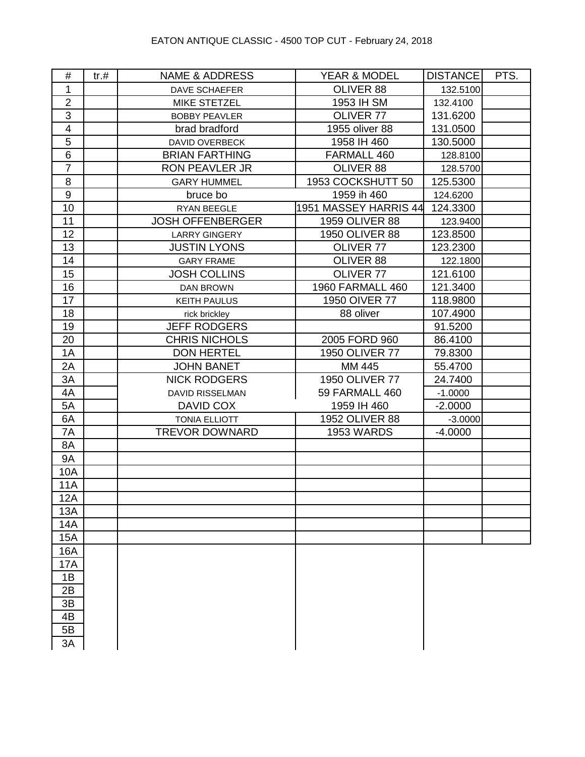| #                       | tr. # | <b>NAME &amp; ADDRESS</b> | YEAR & MODEL            | <b>DISTANCE</b> | PTS. |
|-------------------------|-------|---------------------------|-------------------------|-----------------|------|
| 1                       |       | <b>DAVE SCHAEFER</b>      | OLIVER 88               | 132.5100        |      |
| $\overline{2}$          |       | <b>MIKE STETZEL</b>       | 1953 IH SM              | 132.4100        |      |
| 3                       |       | <b>BOBBY PEAVLER</b>      | OLIVER 77               | 131.6200        |      |
| $\overline{\mathbf{4}}$ |       | brad bradford             | 1955 oliver 88          | 131.0500        |      |
| 5                       |       | DAVID OVERBECK            | 1958 IH 460             | 130.5000        |      |
| 6                       |       | <b>BRIAN FARTHING</b>     | FARMALL 460             | 128.8100        |      |
| $\overline{7}$          |       | RON PEAVLER JR            | OLIVER 88               | 128.5700        |      |
| 8                       |       | <b>GARY HUMMEL</b>        | 1953 COCKSHUTT 50       | 125.5300        |      |
| 9                       |       | bruce bo                  | 1959 ih 460             | 124.6200        |      |
| 10                      |       | RYAN BEEGLE               | 1951 MASSEY HARRIS 44   | 124.3300        |      |
| 11                      |       | <b>JOSH OFFENBERGER</b>   | 1959 OLIVER 88          | 123.9400        |      |
| 12                      |       | <b>LARRY GINGERY</b>      | 1950 OLIVER 88          | 123.8500        |      |
| 13                      |       | <b>JUSTIN LYONS</b>       | OLIVER 77               | 123.2300        |      |
| 14                      |       | <b>GARY FRAME</b>         | OLIVER 88               | 122.1800        |      |
| 15                      |       | <b>JOSH COLLINS</b>       | OLIVER 77               | 121.6100        |      |
| 16                      |       | <b>DAN BROWN</b>          | <b>1960 FARMALL 460</b> | 121.3400        |      |
| 17                      |       | <b>KEITH PAULUS</b>       | 1950 OIVER 77           | 118.9800        |      |
| 18                      |       | rick brickley             | 88 oliver               | 107.4900        |      |
| 19                      |       | <b>JEFF RODGERS</b>       |                         | 91.5200         |      |
| 20                      |       | <b>CHRIS NICHOLS</b>      | 2005 FORD 960           | 86.4100         |      |
| 1A                      |       | <b>DON HERTEL</b>         | 1950 OLIVER 77          | 79.8300         |      |
| 2A                      |       | <b>JOHN BANET</b>         | MM 445                  | 55.4700         |      |
| 3A                      |       | <b>NICK RODGERS</b>       | <b>1950 OLIVER 77</b>   | 24.7400         |      |
| 4A                      |       | <b>DAVID RISSELMAN</b>    | 59 FARMALL 460          | $-1.0000$       |      |
| 5A                      |       | DAVID COX                 | 1959 IH 460             | $-2.0000$       |      |
| 6A                      |       | <b>TONIA ELLIOTT</b>      | 1952 OLIVER 88          | $-3.0000$       |      |
| 7A                      |       | <b>TREVOR DOWNARD</b>     | <b>1953 WARDS</b>       | $-4.0000$       |      |
| 8A                      |       |                           |                         |                 |      |
| <b>9A</b>               |       |                           |                         |                 |      |
| 10A                     |       |                           |                         |                 |      |
| <b>11A</b>              |       |                           |                         |                 |      |
| 12A                     |       |                           |                         |                 |      |
| 13A                     |       |                           |                         |                 |      |
| 14A                     |       |                           |                         |                 |      |
| 15A                     |       |                           |                         |                 |      |
| 16A                     |       |                           |                         |                 |      |
| 17A                     |       |                           |                         |                 |      |
| 1B                      |       |                           |                         |                 |      |
| 2B                      |       |                           |                         |                 |      |
| 3B                      |       |                           |                         |                 |      |
| 4B                      |       |                           |                         |                 |      |
| 5B                      |       |                           |                         |                 |      |
| 3A                      |       |                           |                         |                 |      |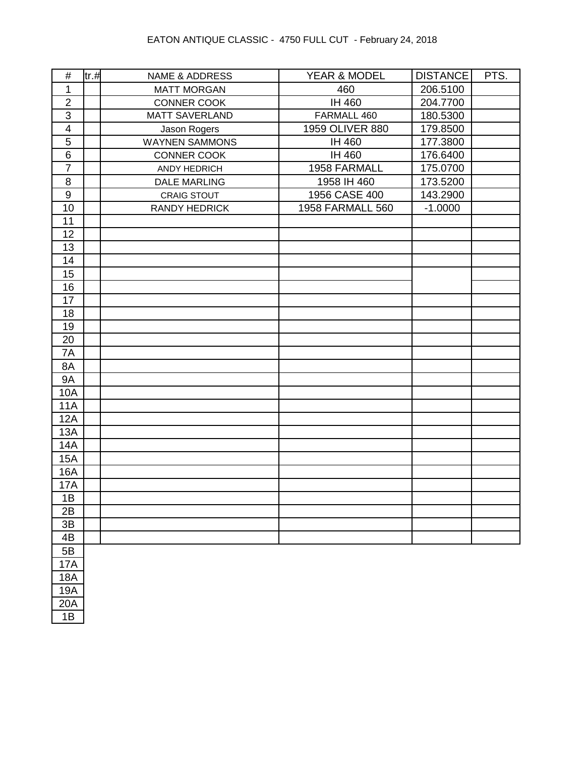| $\#$                    | tr. # | <b>NAME &amp; ADDRESS</b> | YEAR & MODEL     | DISTANCE  | PTS. |
|-------------------------|-------|---------------------------|------------------|-----------|------|
| 1                       |       | <b>MATT MORGAN</b>        | 460              | 206.5100  |      |
| $\mathbf 2$             |       | <b>CONNER COOK</b>        | IH 460           | 204.7700  |      |
| $\overline{3}$          |       | <b>MATT SAVERLAND</b>     | FARMALL 460      | 180.5300  |      |
| $\overline{\mathbf{4}}$ |       | Jason Rogers              | 1959 OLIVER 880  | 179.8500  |      |
| 5                       |       | <b>WAYNEN SAMMONS</b>     | IH 460           | 177.3800  |      |
| $\,6\,$                 |       | CONNER COOK               | IH 460           | 176.6400  |      |
| $\overline{7}$          |       | ANDY HEDRICH              | 1958 FARMALL     | 175.0700  |      |
| 8                       |       | <b>DALE MARLING</b>       | 1958 IH 460      | 173.5200  |      |
| $\boldsymbol{9}$        |       | <b>CRAIG STOUT</b>        | 1956 CASE 400    | 143.2900  |      |
| 10                      |       | <b>RANDY HEDRICK</b>      | 1958 FARMALL 560 | $-1.0000$ |      |
| 11                      |       |                           |                  |           |      |
| 12                      |       |                           |                  |           |      |
| 13                      |       |                           |                  |           |      |
| 14                      |       |                           |                  |           |      |
| 15                      |       |                           |                  |           |      |
| 16                      |       |                           |                  |           |      |
| 17                      |       |                           |                  |           |      |
| 18                      |       |                           |                  |           |      |
| 19                      |       |                           |                  |           |      |
| 20                      |       |                           |                  |           |      |
| 7A                      |       |                           |                  |           |      |
| 8A                      |       |                           |                  |           |      |
| <b>9A</b>               |       |                           |                  |           |      |
| 10A                     |       |                           |                  |           |      |
| <b>11A</b>              |       |                           |                  |           |      |
| 12A                     |       |                           |                  |           |      |
| 13A                     |       |                           |                  |           |      |
| <b>14A</b>              |       |                           |                  |           |      |
| <b>15A</b>              |       |                           |                  |           |      |
| 16A                     |       |                           |                  |           |      |
| <b>17A</b>              |       |                           |                  |           |      |
| 1B                      |       |                           |                  |           |      |
| 2B                      |       |                           |                  |           |      |
| 3B                      |       |                           |                  |           |      |
| 4B                      |       |                           |                  |           |      |
| 5B                      |       |                           |                  |           |      |
| 17A                     |       |                           |                  |           |      |
| <b>18A</b>              |       |                           |                  |           |      |
| <b>19A</b>              |       |                           |                  |           |      |
| 20A                     |       |                           |                  |           |      |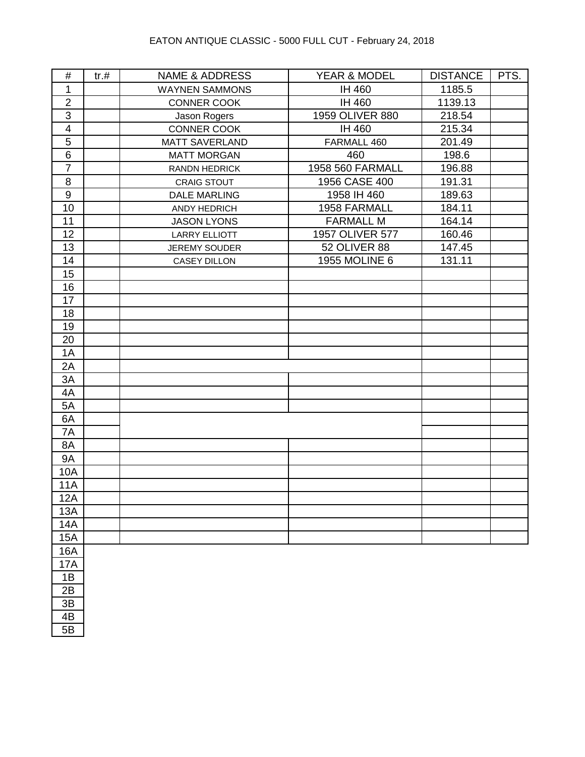| $\#$                    | tr. # | <b>NAME &amp; ADDRESS</b> | YEAR & MODEL        | <b>DISTANCE</b> | PTS. |
|-------------------------|-------|---------------------------|---------------------|-----------------|------|
| $\mathbf{1}$            |       | <b>WAYNEN SAMMONS</b>     | IH 460              | 1185.5          |      |
| $\overline{2}$          |       | <b>CONNER COOK</b>        | IH 460              | 1139.13         |      |
| 3                       |       | Jason Rogers              | 1959 OLIVER 880     | 218.54          |      |
| $\overline{\mathbf{4}}$ |       | CONNER COOK               | IH 460              | 215.34          |      |
| $\overline{5}$          |       | <b>MATT SAVERLAND</b>     | FARMALL 460         | 201.49          |      |
| $6\phantom{1}$          |       | <b>MATT MORGAN</b>        | 460                 | 198.6           |      |
| $\overline{7}$          |       | RANDN HEDRICK             | 1958 560 FARMALL    | 196.88          |      |
| 8                       |       | <b>CRAIG STOUT</b>        | 1956 CASE 400       | 191.31          |      |
| $\boldsymbol{9}$        |       | <b>DALE MARLING</b>       | 1958 IH 460         | 189.63          |      |
| 10                      |       | ANDY HEDRICH              | 1958 FARMALL        | 184.11          |      |
| 11                      |       | <b>JASON LYONS</b>        | <b>FARMALL M</b>    | 164.14          |      |
| 12                      |       | <b>LARRY ELLIOTT</b>      | 1957 OLIVER 577     | 160.46          |      |
| 13                      |       | <b>JEREMY SOUDER</b>      | <b>52 OLIVER 88</b> | 147.45          |      |
| 14                      |       | <b>CASEY DILLON</b>       | 1955 MOLINE 6       | 131.11          |      |
| 15                      |       |                           |                     |                 |      |
| 16                      |       |                           |                     |                 |      |
| 17                      |       |                           |                     |                 |      |
| 18                      |       |                           |                     |                 |      |
| 19                      |       |                           |                     |                 |      |
| 20                      |       |                           |                     |                 |      |
| 1A                      |       |                           |                     |                 |      |
| 2A                      |       |                           |                     |                 |      |
| 3A                      |       |                           |                     |                 |      |
| 4A                      |       |                           |                     |                 |      |
| 5A                      |       |                           |                     |                 |      |
| 6A                      |       |                           |                     |                 |      |
| 7A                      |       |                           |                     |                 |      |
| 8A                      |       |                           |                     |                 |      |
| <b>9A</b>               |       |                           |                     |                 |      |
| 10A                     |       |                           |                     |                 |      |
| <b>11A</b>              |       |                           |                     |                 |      |
| 12A                     |       |                           |                     |                 |      |
| 13A                     |       |                           |                     |                 |      |
| <b>14A</b>              |       |                           |                     |                 |      |
| 15A                     |       |                           |                     |                 |      |
| 16A                     |       |                           |                     |                 |      |
| <b>17A</b>              |       |                           |                     |                 |      |
| 1B                      |       |                           |                     |                 |      |
| 2B                      |       |                           |                     |                 |      |
| 3B                      |       |                           |                     |                 |      |
| 4B                      |       |                           |                     |                 |      |
| 5B                      |       |                           |                     |                 |      |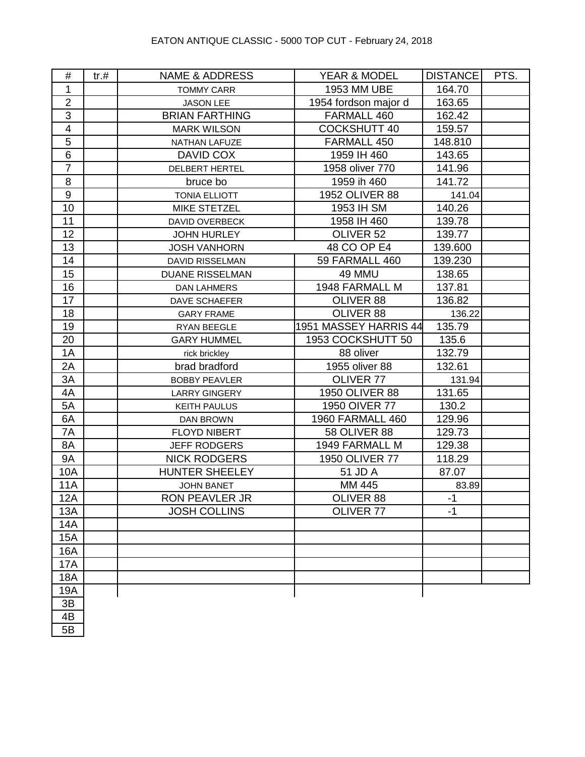| #                       | $tr. \#$ | <b>NAME &amp; ADDRESS</b> | YEAR & MODEL            | DISTANCE | PTS. |
|-------------------------|----------|---------------------------|-------------------------|----------|------|
| 1                       |          | <b>TOMMY CARR</b>         | 1953 MM UBE             | 164.70   |      |
| $\overline{2}$          |          | <b>JASON LEE</b>          | 1954 fordson major d    | 163.65   |      |
| $\overline{3}$          |          | <b>BRIAN FARTHING</b>     | FARMALL 460             | 162.42   |      |
| $\overline{\mathbf{4}}$ |          | <b>MARK WILSON</b>        | <b>COCKSHUTT 40</b>     | 159.57   |      |
| 5                       |          | NATHAN LAFUZE             | FARMALL 450             | 148.810  |      |
| $6\phantom{1}$          |          | DAVID COX                 | 1959 IH 460             | 143.65   |      |
| $\overline{7}$          |          | <b>DELBERT HERTEL</b>     | 1958 oliver 770         | 141.96   |      |
| 8                       |          | bruce bo                  | 1959 ih 460             | 141.72   |      |
| $\boldsymbol{9}$        |          | <b>TONIA ELLIOTT</b>      | 1952 OLIVER 88          | 141.04   |      |
| 10                      |          | <b>MIKE STETZEL</b>       | 1953 IH SM              | 140.26   |      |
| 11                      |          | DAVID OVERBECK            | 1958 IH 460             | 139.78   |      |
| 12                      |          | <b>JOHN HURLEY</b>        | OLIVER 52               | 139.77   |      |
| 13                      |          | <b>JOSH VANHORN</b>       | 48 CO OP E4             | 139.600  |      |
| 14                      |          | DAVID RISSELMAN           | 59 FARMALL 460          | 139.230  |      |
| 15                      |          | <b>DUANE RISSELMAN</b>    | 49 MMU                  | 138.65   |      |
| 16                      |          | <b>DAN LAHMERS</b>        | 1948 FARMALL M          | 137.81   |      |
| 17                      |          | DAVE SCHAEFER             | OLIVER 88               | 136.82   |      |
| 18                      |          | <b>GARY FRAME</b>         | OLIVER 88               | 136.22   |      |
| 19                      |          | RYAN BEEGLE               | 1951 MASSEY HARRIS 44   | 135.79   |      |
| 20                      |          | <b>GARY HUMMEL</b>        | 1953 COCKSHUTT 50       | 135.6    |      |
| 1A                      |          | rick brickley             | 88 oliver               | 132.79   |      |
| 2A                      |          | brad bradford             | 1955 oliver 88          | 132.61   |      |
| 3A                      |          | <b>BOBBY PEAVLER</b>      | OLIVER 77               | 131.94   |      |
| 4A                      |          | <b>LARRY GINGERY</b>      | 1950 OLIVER 88          | 131.65   |      |
| 5A                      |          | <b>KEITH PAULUS</b>       | 1950 OIVER 77           | 130.2    |      |
| 6A                      |          | DAN BROWN                 | <b>1960 FARMALL 460</b> | 129.96   |      |
| 7A                      |          | <b>FLOYD NIBERT</b>       | <b>58 OLIVER 88</b>     | 129.73   |      |
| 8A                      |          | <b>JEFF RODGERS</b>       | 1949 FARMALL M          | 129.38   |      |
| <b>9A</b>               |          | <b>NICK RODGERS</b>       | 1950 OLIVER 77          | 118.29   |      |
| 10A                     |          | <b>HUNTER SHEELEY</b>     | 51 JD A                 | 87.07    |      |
| <b>11A</b>              |          | <b>JOHN BANET</b>         | MM 445                  | 83.89    |      |
| 12A                     |          | RON PEAVLER JR            | OLIVER 88               | $-1$     |      |
| 13A                     |          | <b>JOSH COLLINS</b>       | OLIVER 77               | $-1$     |      |
| 14A                     |          |                           |                         |          |      |
| 15A                     |          |                           |                         |          |      |
| 16A                     |          |                           |                         |          |      |
| <b>17A</b>              |          |                           |                         |          |      |
| 18A                     |          |                           |                         |          |      |
| 19A                     |          |                           |                         |          |      |
| 3B                      |          |                           |                         |          |      |
| 4B                      |          |                           |                         |          |      |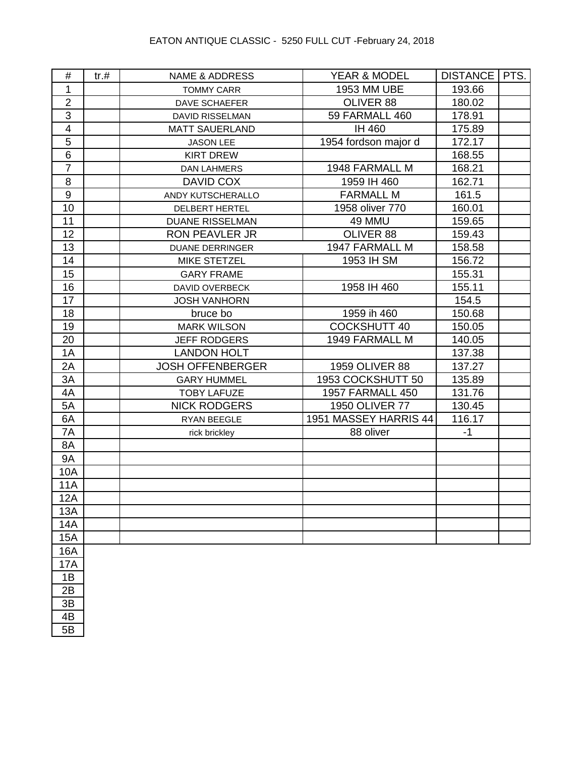| #                       | tr.# | <b>NAME &amp; ADDRESS</b> | YEAR & MODEL            | DISTANCE   PTS. |  |
|-------------------------|------|---------------------------|-------------------------|-----------------|--|
| 1                       |      | <b>TOMMY CARR</b>         | 1953 MM UBE             | 193.66          |  |
| $\overline{2}$          |      | <b>DAVE SCHAEFER</b>      | OLIVER 88               | 180.02          |  |
| $\overline{3}$          |      | <b>DAVID RISSELMAN</b>    | 59 FARMALL 460          | 178.91          |  |
| $\overline{\mathbf{4}}$ |      | <b>MATT SAUERLAND</b>     | IH 460                  | 175.89          |  |
| 5                       |      | <b>JASON LEE</b>          | 1954 fordson major d    | 172.17          |  |
| 6                       |      | <b>KIRT DREW</b>          |                         | 168.55          |  |
| $\overline{7}$          |      | <b>DAN LAHMERS</b>        | 1948 FARMALL M          | 168.21          |  |
| 8                       |      | DAVID COX                 | 1959 IH 460             | 162.71          |  |
| 9                       |      | ANDY KUTSCHERALLO         | <b>FARMALL M</b>        | 161.5           |  |
| 10                      |      | DELBERT HERTEL            | 1958 oliver 770         | 160.01          |  |
| 11                      |      | <b>DUANE RISSELMAN</b>    | 49 MMU                  | 159.65          |  |
| 12                      |      | <b>RON PEAVLER JR</b>     | OLIVER 88               | 159.43          |  |
| 13                      |      | <b>DUANE DERRINGER</b>    | 1947 FARMALL M          | 158.58          |  |
| 14                      |      | MIKE STETZEL              | 1953 IH SM              | 156.72          |  |
| 15                      |      | <b>GARY FRAME</b>         |                         | 155.31          |  |
| 16                      |      | <b>DAVID OVERBECK</b>     | 1958 IH 460             | 155.11          |  |
| 17                      |      | <b>JOSH VANHORN</b>       |                         | 154.5           |  |
| 18                      |      | bruce bo                  | 1959 ih 460             | 150.68          |  |
| 19                      |      | <b>MARK WILSON</b>        | <b>COCKSHUTT 40</b>     | 150.05          |  |
| 20                      |      | <b>JEFF RODGERS</b>       | 1949 FARMALL M          | 140.05          |  |
| 1A                      |      | <b>LANDON HOLT</b>        |                         | 137.38          |  |
| 2A                      |      | <b>JOSH OFFENBERGER</b>   | 1959 OLIVER 88          | 137.27          |  |
| 3A                      |      | <b>GARY HUMMEL</b>        | 1953 COCKSHUTT 50       | 135.89          |  |
| 4A                      |      | <b>TOBY LAFUZE</b>        | <b>1957 FARMALL 450</b> | 131.76          |  |
| 5A                      |      | <b>NICK RODGERS</b>       | 1950 OLIVER 77          | 130.45          |  |
| 6A                      |      | RYAN BEEGLE               | 1951 MASSEY HARRIS 44   | 116.17          |  |
| 7A                      |      | rick brickley             | 88 oliver               | $-1$            |  |
| 8A                      |      |                           |                         |                 |  |
| <b>9A</b>               |      |                           |                         |                 |  |
| 10A                     |      |                           |                         |                 |  |
| <b>11A</b>              |      |                           |                         |                 |  |
| 12A                     |      |                           |                         |                 |  |
| 13A                     |      |                           |                         |                 |  |
| 14A                     |      |                           |                         |                 |  |
| <b>15A</b>              |      |                           |                         |                 |  |
| 16A                     |      |                           |                         |                 |  |
| <b>17A</b>              |      |                           |                         |                 |  |
| 1B                      |      |                           |                         |                 |  |
| 2B                      |      |                           |                         |                 |  |
| 3B                      |      |                           |                         |                 |  |
| 4B                      |      |                           |                         |                 |  |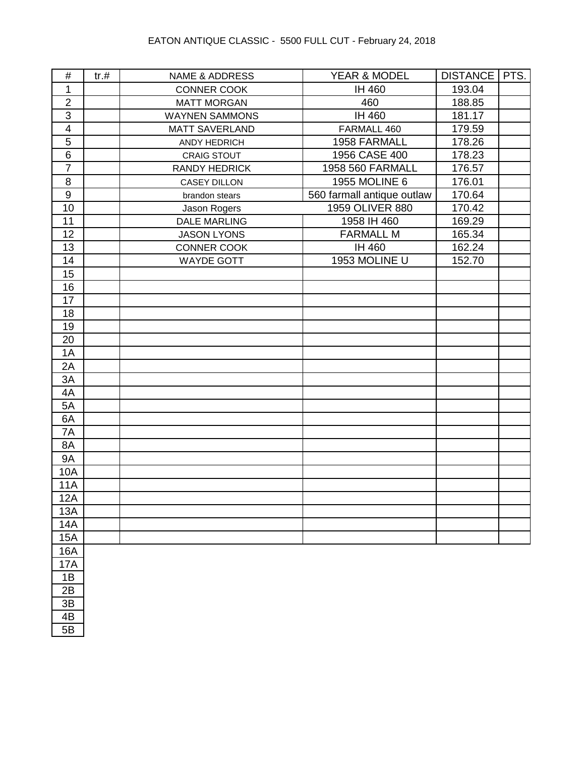| $\#$                    | tr.# | <b>NAME &amp; ADDRESS</b> | YEAR & MODEL               | DISTANCE   PTS. |  |
|-------------------------|------|---------------------------|----------------------------|-----------------|--|
| 1                       |      | CONNER COOK               | IH 460                     | 193.04          |  |
| $\mathbf{2}$            |      | <b>MATT MORGAN</b>        | 460                        | 188.85          |  |
| $\mathbf{3}$            |      | <b>WAYNEN SAMMONS</b>     | IH 460                     | 181.17          |  |
| $\overline{\mathbf{4}}$ |      | <b>MATT SAVERLAND</b>     | FARMALL 460                | 179.59          |  |
| $\overline{5}$          |      | ANDY HEDRICH              | 1958 FARMALL               | 178.26          |  |
| $\,6\,$                 |      | <b>CRAIG STOUT</b>        | 1956 CASE 400              | 178.23          |  |
| $\overline{7}$          |      | <b>RANDY HEDRICK</b>      | 1958 560 FARMALL           | 176.57          |  |
| 8                       |      | <b>CASEY DILLON</b>       | 1955 MOLINE 6              | 176.01          |  |
| $\boldsymbol{9}$        |      | brandon stears            | 560 farmall antique outlaw | 170.64          |  |
| 10                      |      | Jason Rogers              | 1959 OLIVER 880            | 170.42          |  |
| 11                      |      | <b>DALE MARLING</b>       | 1958 IH 460                | 169.29          |  |
| 12                      |      | <b>JASON LYONS</b>        | <b>FARMALL M</b>           | 165.34          |  |
| 13                      |      | CONNER COOK               | IH 460                     | 162.24          |  |
| 14                      |      | <b>WAYDE GOTT</b>         | 1953 MOLINE U              | 152.70          |  |
| 15                      |      |                           |                            |                 |  |
| 16                      |      |                           |                            |                 |  |
| 17                      |      |                           |                            |                 |  |
| 18                      |      |                           |                            |                 |  |
| 19                      |      |                           |                            |                 |  |
| 20                      |      |                           |                            |                 |  |
| 1A                      |      |                           |                            |                 |  |
| 2A                      |      |                           |                            |                 |  |
| 3A                      |      |                           |                            |                 |  |
| 4A                      |      |                           |                            |                 |  |
| 5A                      |      |                           |                            |                 |  |
| 6A                      |      |                           |                            |                 |  |
| 7A                      |      |                           |                            |                 |  |
| 8A                      |      |                           |                            |                 |  |
| <b>9A</b>               |      |                           |                            |                 |  |
| 10A                     |      |                           |                            |                 |  |
| <b>11A</b>              |      |                           |                            |                 |  |
| 12A                     |      |                           |                            |                 |  |
| 13A                     |      |                           |                            |                 |  |
| 14A                     |      |                           |                            |                 |  |
| 15A                     |      |                           |                            |                 |  |
| 16A                     |      |                           |                            |                 |  |
| 17A                     |      |                           |                            |                 |  |
| 1B                      |      |                           |                            |                 |  |
| 2B                      |      |                           |                            |                 |  |
| 3B                      |      |                           |                            |                 |  |
| 4B                      |      |                           |                            |                 |  |
| 5B                      |      |                           |                            |                 |  |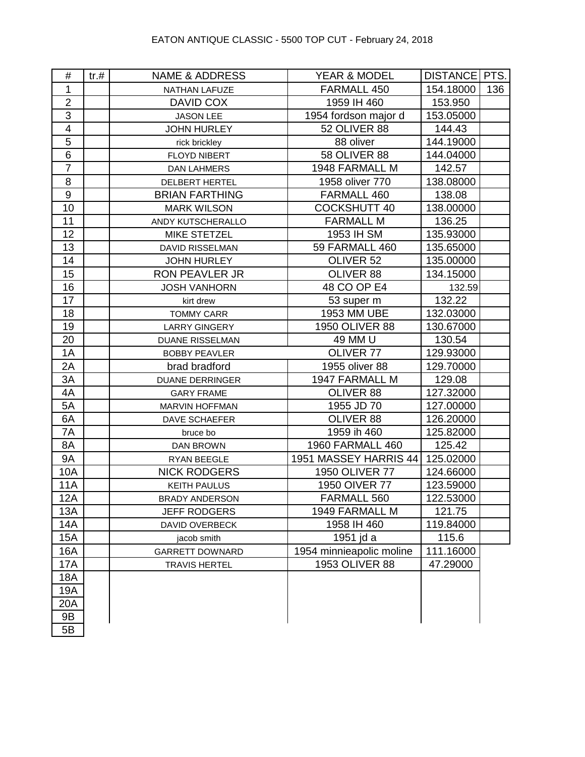| #                       | tr. # | <b>NAME &amp; ADDRESS</b> | YEAR & MODEL             | DISTANCE   PTS. |     |
|-------------------------|-------|---------------------------|--------------------------|-----------------|-----|
| 1                       |       | NATHAN LAFUZE             | FARMALL 450              | 154.18000       | 136 |
| $\overline{2}$          |       | DAVID COX                 | 1959 IH 460              | 153.950         |     |
| 3                       |       | <b>JASON LEE</b>          | 1954 fordson major d     | 153.05000       |     |
| $\overline{\mathbf{4}}$ |       | <b>JOHN HURLEY</b>        | 52 OLIVER 88             | 144.43          |     |
| 5                       |       | rick brickley             | 88 oliver                | 144.19000       |     |
| $6\phantom{1}$          |       | <b>FLOYD NIBERT</b>       | <b>58 OLIVER 88</b>      | 144.04000       |     |
| $\overline{7}$          |       | <b>DAN LAHMERS</b>        | 1948 FARMALL M           | 142.57          |     |
| 8                       |       | <b>DELBERT HERTEL</b>     | 1958 oliver 770          | 138.08000       |     |
| $\boldsymbol{9}$        |       | <b>BRIAN FARTHING</b>     | FARMALL 460              | 138.08          |     |
| 10                      |       | <b>MARK WILSON</b>        | <b>COCKSHUTT 40</b>      | 138.00000       |     |
| 11                      |       | ANDY KUTSCHERALLO         | <b>FARMALL M</b>         | 136.25          |     |
| 12                      |       | <b>MIKE STETZEL</b>       | 1953 IH SM               | 135.93000       |     |
| 13                      |       | <b>DAVID RISSELMAN</b>    | 59 FARMALL 460           | 135.65000       |     |
| 14                      |       | <b>JOHN HURLEY</b>        | OLIVER <sub>52</sub>     | 135.00000       |     |
| 15                      |       | <b>RON PEAVLER JR</b>     | OLIVER 88                | 134.15000       |     |
| 16                      |       | <b>JOSH VANHORN</b>       | 48 CO OP E4              | 132.59          |     |
| 17                      |       | kirt drew                 | 53 super m               | 132.22          |     |
| 18                      |       | <b>TOMMY CARR</b>         | 1953 MM UBE              | 132.03000       |     |
| 19                      |       | <b>LARRY GINGERY</b>      | 1950 OLIVER 88           | 130.67000       |     |
| 20                      |       | <b>DUANE RISSELMAN</b>    | 49 MM U                  | 130.54          |     |
| 1A                      |       | <b>BOBBY PEAVLER</b>      | OLIVER 77                | 129.93000       |     |
| 2A                      |       | brad bradford             | 1955 oliver 88           | 129.70000       |     |
| 3A                      |       | <b>DUANE DERRINGER</b>    | 1947 FARMALL M           | 129.08          |     |
| 4A                      |       | <b>GARY FRAME</b>         | OLIVER 88                | 127.32000       |     |
| 5A                      |       | MARVIN HOFFMAN            | 1955 JD 70               | 127.00000       |     |
| 6A                      |       | DAVE SCHAEFER             | OLIVER 88                | 126.20000       |     |
| 7A                      |       | bruce bo                  | 1959 ih 460              | 125.82000       |     |
| 8A                      |       | <b>DAN BROWN</b>          | <b>1960 FARMALL 460</b>  | 125.42          |     |
| <b>9A</b>               |       | RYAN BEEGLE               | 1951 MASSEY HARRIS 44    | 125.02000       |     |
| 10A                     |       | <b>NICK RODGERS</b>       | 1950 OLIVER 77           | 124.66000       |     |
| <b>11A</b>              |       | <b>KEITH PAULUS</b>       | 1950 OIVER 77            | 123.59000       |     |
| 12A                     |       | <b>BRADY ANDERSON</b>     | FARMALL 560              | 122.53000       |     |
| 13A                     |       | <b>JEFF RODGERS</b>       | 1949 FARMALL M           | 121.75          |     |
| 14A                     |       | DAVID OVERBECK            | 1958 IH 460              | 119.84000       |     |
| 15A                     |       | jacob smith               | 1951 jd a                | 115.6           |     |
| <b>16A</b>              |       | <b>GARRETT DOWNARD</b>    | 1954 minnieapolic moline | 111.16000       |     |
| <b>17A</b>              |       | <b>TRAVIS HERTEL</b>      | 1953 OLIVER 88           | 47.29000        |     |
| 18A                     |       |                           |                          |                 |     |
| 19A                     |       |                           |                          |                 |     |
| 20A                     |       |                           |                          |                 |     |
| 9B                      |       |                           |                          |                 |     |
| 5B                      |       |                           |                          |                 |     |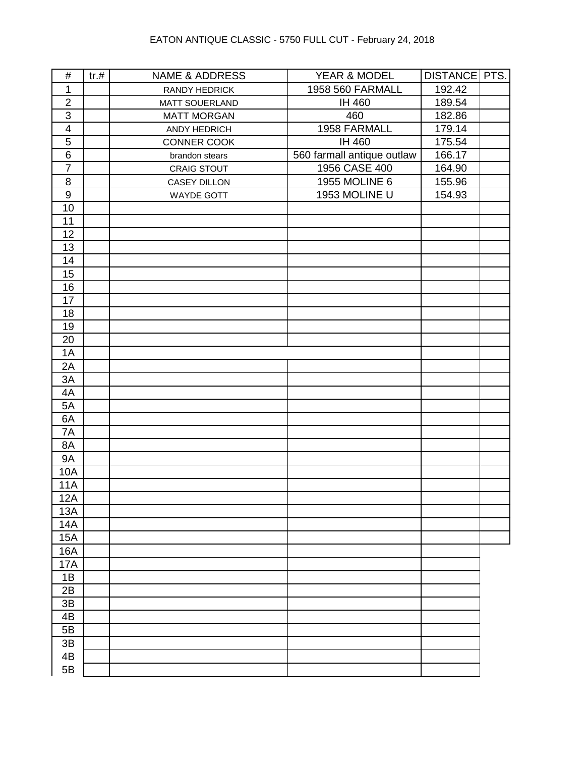| $\mathbf{1}$<br>1958 560 FARMALL<br>192.42<br>RANDY HEDRICK<br>$\overline{2}$<br>IH 460<br>189.54<br>MATT SOUERLAND<br>$\mathbf{3}$<br>460<br>182.86<br><b>MATT MORGAN</b><br>1958 FARMALL<br>179.14<br>$\overline{\mathbf{4}}$<br>ANDY HEDRICH<br>5<br>IH 460<br>175.54<br>CONNER COOK<br>$\overline{6}$<br>560 farmall antique outlaw<br>166.17<br>brandon stears<br>$\overline{7}$<br>1956 CASE 400<br>164.90<br>CRAIG STOUT<br>1955 MOLINE 6<br>8<br>155.96<br>CASEY DILLON<br>$\boldsymbol{9}$<br>1953 MOLINE U<br>154.93<br><b>WAYDE GOTT</b><br>10<br>11<br>12<br>13<br>14<br>15<br>16<br>17<br>18<br>19<br>20<br>1A<br>2A<br>3A<br>4A<br>5A<br>6A<br>7A<br>8A<br><b>9A</b><br><b>10A</b><br><b>11A</b><br>12A<br>13A<br><b>14A</b><br><b>15A</b><br>16A<br><b>17A</b><br>1B<br>2B<br>3B<br>4B<br>5B<br>3B<br>4B | $\#$ | tr.# | <b>NAME &amp; ADDRESS</b> | YEAR & MODEL | DISTANCE   PTS. |  |
|-------------------------------------------------------------------------------------------------------------------------------------------------------------------------------------------------------------------------------------------------------------------------------------------------------------------------------------------------------------------------------------------------------------------------------------------------------------------------------------------------------------------------------------------------------------------------------------------------------------------------------------------------------------------------------------------------------------------------------------------------------------------------------------------------------------------------|------|------|---------------------------|--------------|-----------------|--|
|                                                                                                                                                                                                                                                                                                                                                                                                                                                                                                                                                                                                                                                                                                                                                                                                                         |      |      |                           |              |                 |  |
|                                                                                                                                                                                                                                                                                                                                                                                                                                                                                                                                                                                                                                                                                                                                                                                                                         |      |      |                           |              |                 |  |
|                                                                                                                                                                                                                                                                                                                                                                                                                                                                                                                                                                                                                                                                                                                                                                                                                         |      |      |                           |              |                 |  |
|                                                                                                                                                                                                                                                                                                                                                                                                                                                                                                                                                                                                                                                                                                                                                                                                                         |      |      |                           |              |                 |  |
|                                                                                                                                                                                                                                                                                                                                                                                                                                                                                                                                                                                                                                                                                                                                                                                                                         |      |      |                           |              |                 |  |
|                                                                                                                                                                                                                                                                                                                                                                                                                                                                                                                                                                                                                                                                                                                                                                                                                         |      |      |                           |              |                 |  |
|                                                                                                                                                                                                                                                                                                                                                                                                                                                                                                                                                                                                                                                                                                                                                                                                                         |      |      |                           |              |                 |  |
|                                                                                                                                                                                                                                                                                                                                                                                                                                                                                                                                                                                                                                                                                                                                                                                                                         |      |      |                           |              |                 |  |
|                                                                                                                                                                                                                                                                                                                                                                                                                                                                                                                                                                                                                                                                                                                                                                                                                         |      |      |                           |              |                 |  |
|                                                                                                                                                                                                                                                                                                                                                                                                                                                                                                                                                                                                                                                                                                                                                                                                                         |      |      |                           |              |                 |  |
|                                                                                                                                                                                                                                                                                                                                                                                                                                                                                                                                                                                                                                                                                                                                                                                                                         |      |      |                           |              |                 |  |
|                                                                                                                                                                                                                                                                                                                                                                                                                                                                                                                                                                                                                                                                                                                                                                                                                         |      |      |                           |              |                 |  |
|                                                                                                                                                                                                                                                                                                                                                                                                                                                                                                                                                                                                                                                                                                                                                                                                                         |      |      |                           |              |                 |  |
|                                                                                                                                                                                                                                                                                                                                                                                                                                                                                                                                                                                                                                                                                                                                                                                                                         |      |      |                           |              |                 |  |
|                                                                                                                                                                                                                                                                                                                                                                                                                                                                                                                                                                                                                                                                                                                                                                                                                         |      |      |                           |              |                 |  |
|                                                                                                                                                                                                                                                                                                                                                                                                                                                                                                                                                                                                                                                                                                                                                                                                                         |      |      |                           |              |                 |  |
|                                                                                                                                                                                                                                                                                                                                                                                                                                                                                                                                                                                                                                                                                                                                                                                                                         |      |      |                           |              |                 |  |
|                                                                                                                                                                                                                                                                                                                                                                                                                                                                                                                                                                                                                                                                                                                                                                                                                         |      |      |                           |              |                 |  |
|                                                                                                                                                                                                                                                                                                                                                                                                                                                                                                                                                                                                                                                                                                                                                                                                                         |      |      |                           |              |                 |  |
|                                                                                                                                                                                                                                                                                                                                                                                                                                                                                                                                                                                                                                                                                                                                                                                                                         |      |      |                           |              |                 |  |
|                                                                                                                                                                                                                                                                                                                                                                                                                                                                                                                                                                                                                                                                                                                                                                                                                         |      |      |                           |              |                 |  |
|                                                                                                                                                                                                                                                                                                                                                                                                                                                                                                                                                                                                                                                                                                                                                                                                                         |      |      |                           |              |                 |  |
|                                                                                                                                                                                                                                                                                                                                                                                                                                                                                                                                                                                                                                                                                                                                                                                                                         |      |      |                           |              |                 |  |
|                                                                                                                                                                                                                                                                                                                                                                                                                                                                                                                                                                                                                                                                                                                                                                                                                         |      |      |                           |              |                 |  |
|                                                                                                                                                                                                                                                                                                                                                                                                                                                                                                                                                                                                                                                                                                                                                                                                                         |      |      |                           |              |                 |  |
|                                                                                                                                                                                                                                                                                                                                                                                                                                                                                                                                                                                                                                                                                                                                                                                                                         |      |      |                           |              |                 |  |
|                                                                                                                                                                                                                                                                                                                                                                                                                                                                                                                                                                                                                                                                                                                                                                                                                         |      |      |                           |              |                 |  |
|                                                                                                                                                                                                                                                                                                                                                                                                                                                                                                                                                                                                                                                                                                                                                                                                                         |      |      |                           |              |                 |  |
|                                                                                                                                                                                                                                                                                                                                                                                                                                                                                                                                                                                                                                                                                                                                                                                                                         |      |      |                           |              |                 |  |
|                                                                                                                                                                                                                                                                                                                                                                                                                                                                                                                                                                                                                                                                                                                                                                                                                         |      |      |                           |              |                 |  |
|                                                                                                                                                                                                                                                                                                                                                                                                                                                                                                                                                                                                                                                                                                                                                                                                                         |      |      |                           |              |                 |  |
|                                                                                                                                                                                                                                                                                                                                                                                                                                                                                                                                                                                                                                                                                                                                                                                                                         |      |      |                           |              |                 |  |
|                                                                                                                                                                                                                                                                                                                                                                                                                                                                                                                                                                                                                                                                                                                                                                                                                         |      |      |                           |              |                 |  |
|                                                                                                                                                                                                                                                                                                                                                                                                                                                                                                                                                                                                                                                                                                                                                                                                                         |      |      |                           |              |                 |  |
|                                                                                                                                                                                                                                                                                                                                                                                                                                                                                                                                                                                                                                                                                                                                                                                                                         |      |      |                           |              |                 |  |
|                                                                                                                                                                                                                                                                                                                                                                                                                                                                                                                                                                                                                                                                                                                                                                                                                         |      |      |                           |              |                 |  |
|                                                                                                                                                                                                                                                                                                                                                                                                                                                                                                                                                                                                                                                                                                                                                                                                                         |      |      |                           |              |                 |  |
|                                                                                                                                                                                                                                                                                                                                                                                                                                                                                                                                                                                                                                                                                                                                                                                                                         |      |      |                           |              |                 |  |
|                                                                                                                                                                                                                                                                                                                                                                                                                                                                                                                                                                                                                                                                                                                                                                                                                         |      |      |                           |              |                 |  |
|                                                                                                                                                                                                                                                                                                                                                                                                                                                                                                                                                                                                                                                                                                                                                                                                                         |      |      |                           |              |                 |  |
|                                                                                                                                                                                                                                                                                                                                                                                                                                                                                                                                                                                                                                                                                                                                                                                                                         |      |      |                           |              |                 |  |
|                                                                                                                                                                                                                                                                                                                                                                                                                                                                                                                                                                                                                                                                                                                                                                                                                         |      |      |                           |              |                 |  |
|                                                                                                                                                                                                                                                                                                                                                                                                                                                                                                                                                                                                                                                                                                                                                                                                                         |      |      |                           |              |                 |  |
|                                                                                                                                                                                                                                                                                                                                                                                                                                                                                                                                                                                                                                                                                                                                                                                                                         |      |      |                           |              |                 |  |
|                                                                                                                                                                                                                                                                                                                                                                                                                                                                                                                                                                                                                                                                                                                                                                                                                         | 5B   |      |                           |              |                 |  |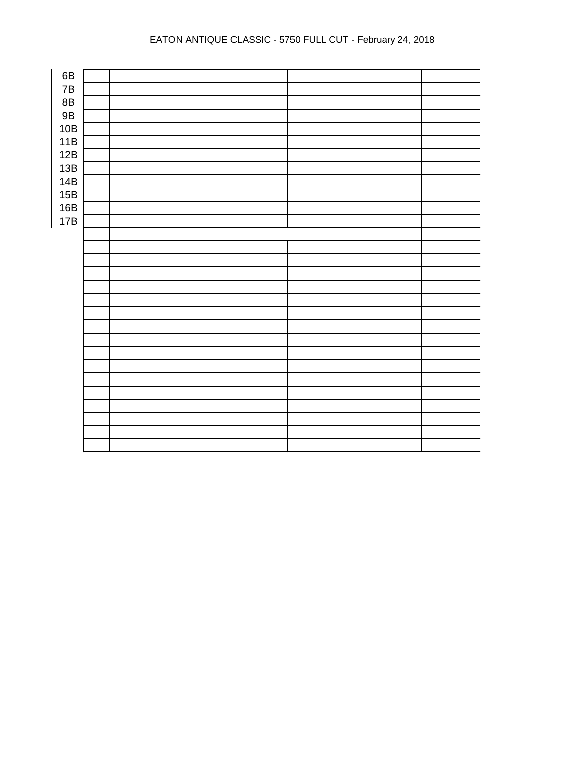## EATON ANTIQUE CLASSIC - 5750 FULL CUT - February 24, 2018

| 6B            |  |  |
|---------------|--|--|
| $7\mathsf{B}$ |  |  |
| $8\mathsf{B}$ |  |  |
| $9\mathsf{B}$ |  |  |
| 10B           |  |  |
| 11B           |  |  |
| 12B           |  |  |
| 13B           |  |  |
| 14B           |  |  |
| 15B           |  |  |
| 16B           |  |  |
| 17B           |  |  |
|               |  |  |
|               |  |  |
|               |  |  |
|               |  |  |
|               |  |  |
|               |  |  |
|               |  |  |
|               |  |  |
|               |  |  |
|               |  |  |
|               |  |  |
|               |  |  |
|               |  |  |
|               |  |  |
|               |  |  |
|               |  |  |
|               |  |  |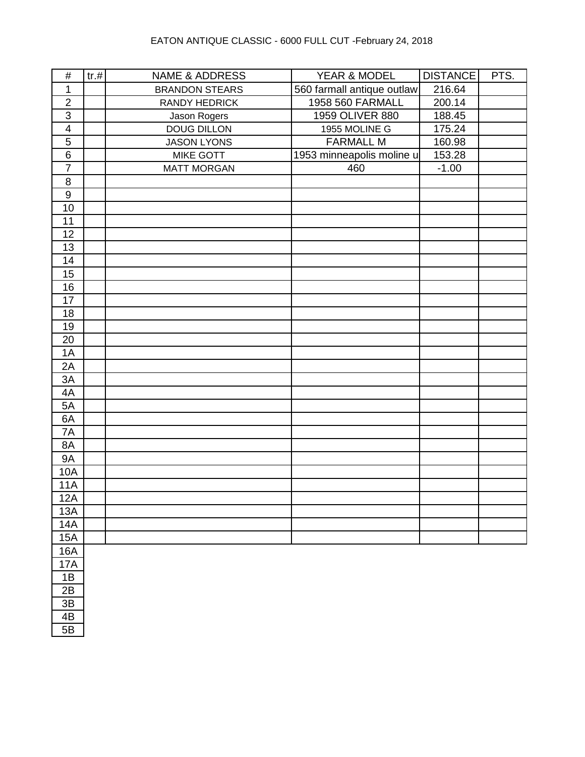| $\#$                    | tr.# | <b>NAME &amp; ADDRESS</b> | YEAR & MODEL               | <b>DISTANCE</b> | PTS. |
|-------------------------|------|---------------------------|----------------------------|-----------------|------|
| 1                       |      | <b>BRANDON STEARS</b>     | 560 farmall antique outlaw | 216.64          |      |
| $\overline{2}$          |      | <b>RANDY HEDRICK</b>      | 1958 560 FARMALL           | 200.14          |      |
| $\overline{3}$          |      | Jason Rogers              | 1959 OLIVER 880            | 188.45          |      |
| $\overline{\mathbf{4}}$ |      | <b>DOUG DILLON</b>        | 1955 MOLINE G              | 175.24          |      |
| $\sqrt{5}$              |      | <b>JASON LYONS</b>        | <b>FARMALL M</b>           | 160.98          |      |
| $\overline{6}$          |      | MIKE GOTT                 | 1953 minneapolis moline u  | 153.28          |      |
| $\overline{7}$          |      | <b>MATT MORGAN</b>        | 460                        | $-1.00$         |      |
| $\, 8$                  |      |                           |                            |                 |      |
| $\overline{9}$          |      |                           |                            |                 |      |
| 10                      |      |                           |                            |                 |      |
| 11                      |      |                           |                            |                 |      |
| 12                      |      |                           |                            |                 |      |
| 13                      |      |                           |                            |                 |      |
| 14                      |      |                           |                            |                 |      |
| 15                      |      |                           |                            |                 |      |
| 16                      |      |                           |                            |                 |      |
| 17                      |      |                           |                            |                 |      |
| 18                      |      |                           |                            |                 |      |
| 19                      |      |                           |                            |                 |      |
| 20                      |      |                           |                            |                 |      |
| 1A                      |      |                           |                            |                 |      |
| 2A                      |      |                           |                            |                 |      |
| 3A                      |      |                           |                            |                 |      |
| 4A                      |      |                           |                            |                 |      |
| 5A                      |      |                           |                            |                 |      |
| 6A                      |      |                           |                            |                 |      |
| 7A                      |      |                           |                            |                 |      |
| 8A                      |      |                           |                            |                 |      |
| <b>9A</b>               |      |                           |                            |                 |      |
| 10A                     |      |                           |                            |                 |      |
| <b>11A</b>              |      |                           |                            |                 |      |
| 12A                     |      |                           |                            |                 |      |
| 13A                     |      |                           |                            |                 |      |
| <b>14A</b>              |      |                           |                            |                 |      |
| <b>15A</b>              |      |                           |                            |                 |      |
| 16A                     |      |                           |                            |                 |      |
| 17A                     |      |                           |                            |                 |      |
| 1B                      |      |                           |                            |                 |      |
| 2B                      |      |                           |                            |                 |      |
| 3B                      |      |                           |                            |                 |      |
| 4B                      |      |                           |                            |                 |      |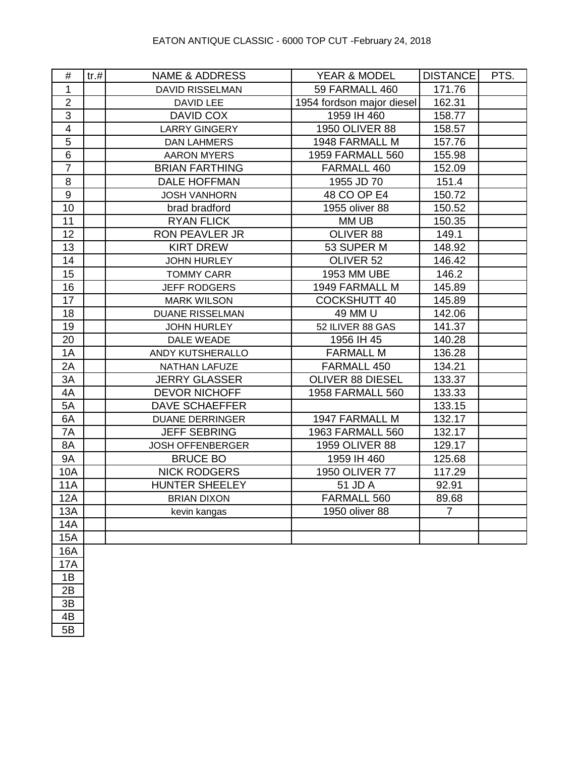| #               | tr. # | <b>NAME &amp; ADDRESS</b> | <b>YEAR &amp; MODEL</b>   | <b>DISTANCE</b> | PTS. |
|-----------------|-------|---------------------------|---------------------------|-----------------|------|
| 1               |       | <b>DAVID RISSELMAN</b>    | 59 FARMALL 460            | 171.76          |      |
| $\overline{2}$  |       | <b>DAVID LEE</b>          | 1954 fordson major diesel | 162.31          |      |
| $\overline{3}$  |       | <b>DAVID COX</b>          | 1959 IH 460               | 158.77          |      |
| $\overline{4}$  |       | <b>LARRY GINGERY</b>      | 1950 OLIVER 88            | 158.57          |      |
| $\overline{5}$  |       | <b>DAN LAHMERS</b>        | 1948 FARMALL M            | 157.76          |      |
| $\overline{6}$  |       | <b>AARON MYERS</b>        | <b>1959 FARMALL 560</b>   | 155.98          |      |
| $\overline{7}$  |       | <b>BRIAN FARTHING</b>     | FARMALL 460               | 152.09          |      |
| 8               |       | <b>DALE HOFFMAN</b>       | 1955 JD 70                | 151.4           |      |
| $9\,$           |       | <b>JOSH VANHORN</b>       | 48 CO OP E4               | 150.72          |      |
| 10              |       | brad bradford             | 1955 oliver 88            | 150.52          |      |
| 11              |       | <b>RYAN FLICK</b>         | MM UB                     | 150.35          |      |
| 12              |       | <b>RON PEAVLER JR</b>     | OLIVER 88                 | 149.1           |      |
| 13              |       | <b>KIRT DREW</b>          | 53 SUPER M                | 148.92          |      |
| 14              |       | <b>JOHN HURLEY</b>        | OLIVER 52                 | 146.42          |      |
| 15              |       | <b>TOMMY CARR</b>         | 1953 MM UBE               | 146.2           |      |
| 16              |       | <b>JEFF RODGERS</b>       | 1949 FARMALL M            | 145.89          |      |
| $\overline{17}$ |       | <b>MARK WILSON</b>        | <b>COCKSHUTT 40</b>       | 145.89          |      |
| 18              |       | <b>DUANE RISSELMAN</b>    | 49 MM U                   | 142.06          |      |
| 19              |       | <b>JOHN HURLEY</b>        | 52 ILIVER 88 GAS          | 141.37          |      |
| 20              |       | DALE WEADE                | 1956 IH 45                | 140.28          |      |
| 1A              |       | ANDY KUTSHERALLO          | <b>FARMALL M</b>          | 136.28          |      |
| 2A              |       | <b>NATHAN LAFUZE</b>      | FARMALL 450               | 134.21          |      |
| 3A              |       | <b>JERRY GLASSER</b>      | OLIVER 88 DIESEL          | 133.37          |      |
| 4A              |       | <b>DEVOR NICHOFF</b>      | <b>1958 FARMALL 560</b>   | 133.33          |      |
| 5A              |       | <b>DAVE SCHAEFFER</b>     |                           | 133.15          |      |
| 6A              |       | <b>DUANE DERRINGER</b>    | 1947 FARMALL M            | 132.17          |      |
| 7A              |       | <b>JEFF SEBRING</b>       | 1963 FARMALL 560          | 132.17          |      |
| 8A              |       | <b>JOSH OFFENBERGER</b>   | 1959 OLIVER 88            | 129.17          |      |
| <b>9A</b>       |       | <b>BRUCE BO</b>           | 1959 IH 460               | 125.68          |      |
| <b>10A</b>      |       | <b>NICK RODGERS</b>       | 1950 OLIVER 77            | 117.29          |      |
| <b>11A</b>      |       | <b>HUNTER SHEELEY</b>     | 51 JD A                   | 92.91           |      |
| 12A             |       | <b>BRIAN DIXON</b>        | FARMALL 560               | 89.68           |      |
| <b>13A</b>      |       | kevin kangas              | 1950 oliver 88            | $\overline{7}$  |      |
| <b>14A</b>      |       |                           |                           |                 |      |
| <b>15A</b>      |       |                           |                           |                 |      |
| <b>16A</b>      |       |                           |                           |                 |      |
| 17 <sub>0</sub> |       |                           |                           |                 |      |

<u>17A</u> 1B 2B 3B 4B